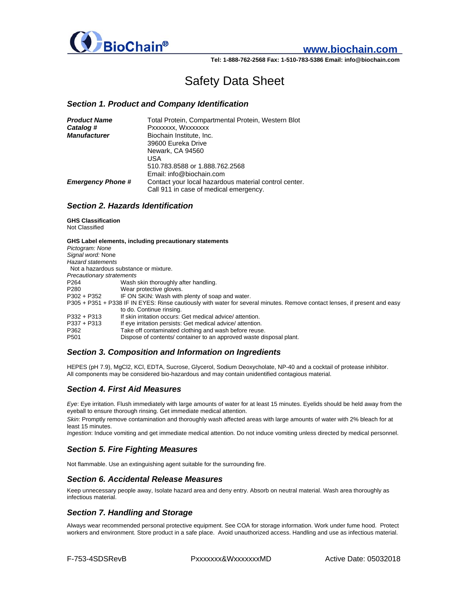

# **www.biochain.com**

**Tel: 1-888-762-2568 Fax: 1-510-783-5386 Email: info@biochain.com**

# Safety Data Sheet

#### *Section 1. Product and Company Identification*

| <b>Product Name</b>      | Total Protein, Compartmental Protein, Western Blot    |
|--------------------------|-------------------------------------------------------|
| Catalog #                | Pxxxxxxx, Wxxxxxxx                                    |
| <b>Manufacturer</b>      | Biochain Institute, Inc.                              |
|                          | 39600 Eureka Drive                                    |
|                          | Newark, CA 94560                                      |
|                          | USA                                                   |
|                          | 510.783.8588 or 1.888.762.2568                        |
|                          | Email: info@biochain.com                              |
| <b>Emergency Phone #</b> | Contact your local hazardous material control center. |
|                          | Call 911 in case of medical emergency.                |

### *Section 2. Hazards Identification*

**GHS Classification**  Not Classified

|                                                                                                                            | GHS Label elements, including precautionary statements             |
|----------------------------------------------------------------------------------------------------------------------------|--------------------------------------------------------------------|
| Pictogram: None                                                                                                            |                                                                    |
| Signal word: None                                                                                                          |                                                                    |
| <b>Hazard statements</b>                                                                                                   |                                                                    |
|                                                                                                                            | Not a hazardous substance or mixture.                              |
| Precautionary stratements                                                                                                  |                                                                    |
| P264                                                                                                                       | Wash skin thoroughly after handling.                               |
| P280                                                                                                                       | Wear protective gloves.                                            |
| $P302 + P352$                                                                                                              | IF ON SKIN: Wash with plenty of soap and water.                    |
| P305 + P351 + P338 IF IN EYES: Rinse cautiously with water for several minutes. Remove contact lenses, if present and easy |                                                                    |
|                                                                                                                            | to do. Continue rinsing.                                           |
| $P332 + P313$                                                                                                              | If skin irritation occurs: Get medical advice/attention.           |
| $P337 + P313$                                                                                                              | If eye irritation persists: Get medical advice/attention.          |
| P362                                                                                                                       | Take off contaminated clothing and wash before reuse.              |
| P <sub>501</sub>                                                                                                           | Dispose of contents/container to an approved waste disposal plant. |

# *Section 3. Composition and Information on Ingredients*

HEPES (pH 7.9), MgCl2, KCl, EDTA, Sucrose, Glycerol, Sodium Deoxycholate, NP-40 and a cocktail of protease inhibitor. All components may be considered bio-hazardous and may contain unidentified contagious material.

### *Section 4. First Aid Measures*

*Eye*: Eye irritation. Flush immediately with large amounts of water for at least 15 minutes. Eyelids should be held away from the eyeball to ensure thorough rinsing. Get immediate medical attention.

*Skin*: Promptly remove contamination and thoroughly wash affected areas with large amounts of water with 2% bleach for at least 15 minutes.

*Ingestion*: Induce vomiting and get immediate medical attention. Do not induce vomiting unless directed by medical personnel.

# *Section 5. Fire Fighting Measures*

Not flammable. Use an extinguishing agent suitable for the surrounding fire.

#### *Section 6. Accidental Release Measures*

Keep unnecessary people away, Isolate hazard area and deny entry. Absorb on neutral material. Wash area thoroughly as infectious material.

### *Section 7. Handling and Storage*

Always wear recommended personal protective equipment. See COA for storage information. Work under fume hood. Protect workers and environment. Store product in a safe place. Avoid unauthorized access. Handling and use as infectious material.